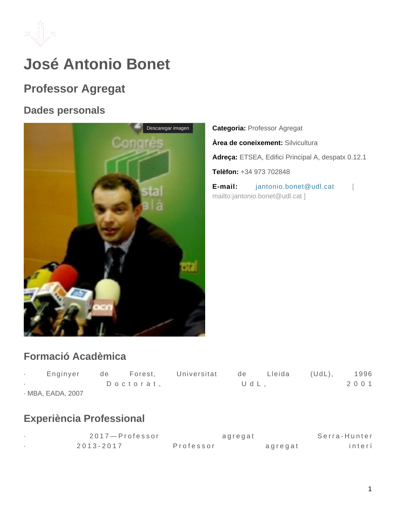

# **José Antonio Bonet**

## **Professor Agregat**

#### **Dades personals**



**Categoria:** Professor Agregat **Àrea de coneixement:** Silvicultura **Adreça:** ETSEA, Edifici Principal A, despatx 0.12.1 **Telèfon:** +34 973 702848 **E-mail:** jantonio.bonet@udl.cat [ mailto:jantonio.bonet@udl.cat ]

## **Formació Acadèmica**

| Enginyer          | de | Forest,   | Universitat | de.  | Lleida | $(UdL)$ , | 1996    |
|-------------------|----|-----------|-------------|------|--------|-----------|---------|
|                   |    | Doctorat, |             | UdL. |        |           | 2 0 0 1 |
| · MBA, EADA, 2007 |    |           |             |      |        |           |         |

## **Experiència Professional**

| 2017—Professor | agregat   |         | Serra-Hunter |
|----------------|-----------|---------|--------------|
| $2013 - 2017$  | Professor | agregat | interí       |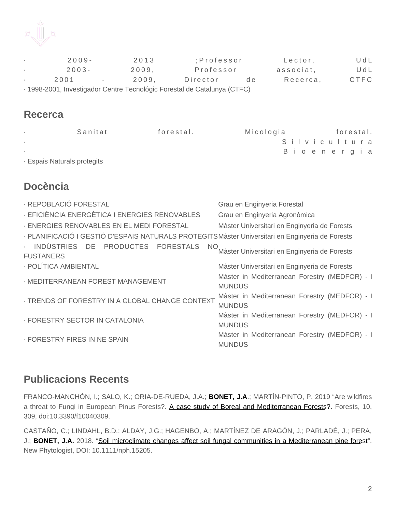

|                                                                         | $2009 -$ |        | 2013  | :Professor |     | Lector,   | UdL  |
|-------------------------------------------------------------------------|----------|--------|-------|------------|-----|-----------|------|
|                                                                         | $2003 -$ |        | 2009. | Professor  |     | associat, | UdL  |
|                                                                         | 2001     | $\sim$ | 2009. | Director   | d e | Recerca,  | CTFC |
| . 1998-2001 Investigador Centre Tecnológic Forestal de Catalunya (CTEC) |          |        |       |            |     |           |      |

· 1998-2001, Investigador Centre Tecnológic Forestal de Catalunya (CTFC)

#### **Recerca**

| Sanitat                     | forestal. | Micologia | forestal.    |
|-----------------------------|-----------|-----------|--------------|
|                             |           |           | Silvicultura |
|                             |           |           | Bioenergia   |
| · Espais Naturals protegits |           |           |              |

## **Docència**

| · REPOBLACIÓ FORESTAL                                                                           | Grau en Enginyeria Forestal                                    |
|-------------------------------------------------------------------------------------------------|----------------------------------------------------------------|
| - EFICIÈNCIA ENERGÈTICA I ENERGIES RENOVABLES                                                   | Grau en Enginyeria Agronòmica                                  |
| - ENERGIES RENOVABLES EN EL MEDI FORESTAL                                                       | Màster Universitari en Enginyeria de Forests                   |
| · PLANIFICACIÓ I GESTIÓ D'ESPAIS NATURALS PROTEGITSMàster Universitari en Enginyeria de Forests |                                                                |
| · INDÚSTRIES DE PRODUCTES FORESTALS<br>NO.<br><b>FUSTANERS</b>                                  | Màster Universitari en Enginyeria de Forests                   |
| · POLÍTICA AMBIENTAL                                                                            | Màster Universitari en Enginyeria de Forests                   |
| · MEDITERRANEAN FOREST MANAGEMENT                                                               | Màster in Mediterranean Forestry (MEDFOR) - I<br><b>MUNDUS</b> |
| - TRENDS OF FORESTRY IN A GLOBAL CHANGE CONTEXT                                                 | Màster in Mediterranean Forestry (MEDFOR) - I<br><b>MUNDUS</b> |
| - FORESTRY SECTOR IN CATALONIA                                                                  | Màster in Mediterranean Forestry (MEDFOR) - I<br><b>MUNDUS</b> |
| · FORESTRY FIRES IN NE SPAIN                                                                    | Màster in Mediterranean Forestry (MEDFOR) - I<br><b>MUNDUS</b> |

## **Publicacions Recents**

FRANCO-MANCHÓN, I.; SALO, K.; ORIA-DE-RUEDA, J.A.; **BONET, J.A**.; MARTÍN-PINTO, P. 2019 "Are wildfires a threat to Fungi in European Pinus Forests?. A case study of Boreal and Mediterranean Forests?. Forests, 10, 309, doi:10.3390/f10040309.

CASTAÑO, C.; LINDAHL, B.D.; ALDAY, J.G.; HAGENBO, A.; MARTÍNEZ DE ARAGÓN, J.; PARLADÉ, J.; PERA, J.; **BONET, J.A.** 2018. "Soil microclimate changes affect soil fungal communities in a Mediterranean pine forest". New Phytologist, DOI: 10.1111/nph.15205.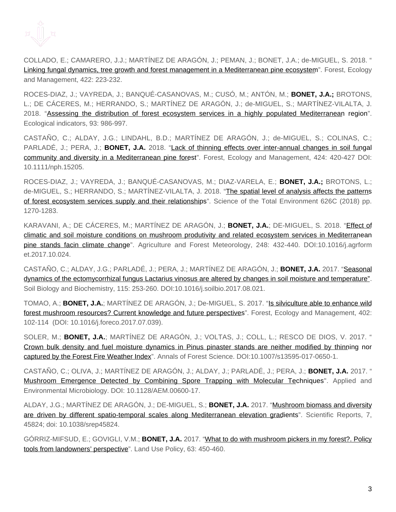

COLLADO, E.; CAMARERO, J.J.; MARTÍNEZ DE ARAGÓN, J.; PEMAN, J.; BONET, J.A.; de-MIGUEL, S. 2018. " Linking fungal dynamics, tree growth and forest management in a Mediterranean pine ecosystem". Forest, Ecology and Management, 422: 223-232.

ROCES-DIAZ, J.; VAYREDA, J.; BANQUÉ-CASANOVAS, M.; CUSÓ, M.; ANTÓN, M.; **BONET, J.A.;** BROTONS, L.; DE CÁCERES, M.; HERRANDO, S.; MARTÍNEZ DE ARAGÓN, J.; de-MIGUEL, S.; MARTÍNEZ-VILALTA, J. 2018. "Assessing the distribution of forest ecosystem services in a highly populated Mediterranean region". Ecological indicators, 93: 986-997.

CASTAÑO, C.; ALDAY, J.G.; LINDAHL, B.D.; MARTÍNEZ DE ARAGÓN, J.; de-MIGUEL, S.; COLINAS, C.; PARLADÉ, J.; PERA, J.; **BONET, J.A.** 2018. "Lack of thinning effects over inter-annual changes in soil fungal community and diversity in a Mediterranean pine forest". Forest, Ecology and Management, 424: 420-427 DOI: 10.1111/nph.15205.

ROCES-DIAZ, J.; VAYREDA, J.; BANQUÉ-CASANOVAS, M.; DIAZ-VARELA, E.; **BONET, J.A.;** BROTONS, L.; de-MIGUEL, S.; HERRANDO, S.; MARTÍNEZ-VILALTA, J. 2018. "The spatial level of analysis affects the patterns of forest ecosystem services supply and their relationships". Science of the Total Environment 626C (2018) pp. 1270-1283.

KARAVANI, A.; DE CÁCERES, M.; MARTÍNEZ DE ARAGÓN, J.; **BONET, J.A.**; DE-MIGUEL, S. 2018. "Effect of climatic and soil moisture conditions on mushroom produtivity and related ecosystem services in Mediterranean pine stands facin climate change". Agriculture and Forest Meteorology, 248: 432-440. DOI:10.1016/j.agrform et.2017.10.024.

CASTAÑO, C.; ALDAY, J.G.; PARLADÉ, J.; PERA, J.; MARTÍNEZ DE ARAGÓN, J.; **BONET, J.A.** 2017. "Seasonal dynamics of the ectomycorrhizal fungus Lactarius vinosus are altered by changes in soil moisture and temperature". Soil Biology and Biochemistry, 115: 253-260. DOI:10.1016/j.soilbio.2017.08.021.

TOMAO, A.; **BONET, J.A.**; MARTÍNEZ DE ARAGÓN, J.; De-MIGUEL, S. 2017. "Is silviculture able to enhance wild forest mushroom resources? Current knowledge and future perspectives". Forest, Ecology and Management, 402: 102-114 (DOI: 10.1016/j.foreco.2017.07.039).

SOLER, M.; **BONET, J.A.**; MARTÍNEZ DE ARAGÓN, J.; VOLTAS, J.; COLL, L.; RESCO DE DIOS, V. 2017. " Crown bulk density and fuel moisture dynamics in Pinus pinaster stands are neither modified by thinning nor captured by the Forest Fire Weather Index". Annals of Forest Science. DOI:10.1007/s13595-017-0650-1.

CASTAÑO, C.; OLIVA, J.; MARTÍNEZ DE ARAGÓN, J.; ALDAY, J.; PARLADÉ, J.; PERA, J.; **BONET, J.A.** 2017. " Mushroom Emergence Detected by Combining Spore Trapping with Molecular Techniques". Applied and Environmental Microbiology. DOI: 10.1128/AEM.00600-17.

ALDAY, J.G.; MARTÍNEZ DE ARAGÓN, J.; DE-MIGUEL, S.; **BONET, J.A.** 2017. "Mushroom biomass and diversity are driven by different spatio-temporal scales along Mediterranean elevation gradients". Scientific Reports, 7, 45824; doi: 10.1038/srep45824.

GÓRRIZ-MIFSUD, E.; GOVIGLI, V.M.; **BONET, J.A.** 2017. "What to do with mushroom pickers in my forest?. Policy tools from landowners' perspective". Land Use Policy, 63: 450-460.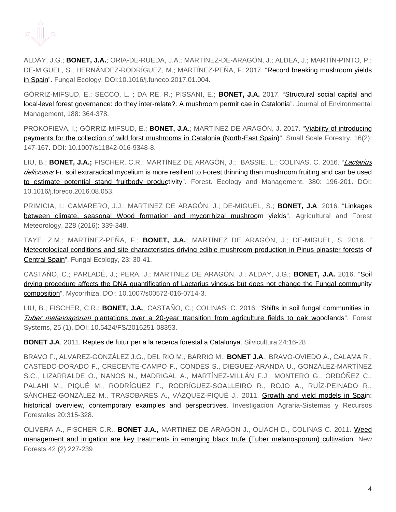

ALDAY, J.G.; **BONET, J.A.**; ORIA-DE-RUEDA, J.A.; MARTÍNEZ-DE-ARAGÓN, J.; ALDEA, J.; MARTÍN-PINTO, P.; DE-MIGUEL, S.; HERNÁNDEZ-RODRÍGUEZ, M.; MARTÍNEZ-PEÑA, F. 2017. "Record breaking mushroom yields in Spain". Fungal Ecology. DOI:10.1016/j.funeco.2017.01.004.

GÓRRIZ-MIFSUD, E.; SECCO, L. ; DA RE, R.; PISSANI, E.; **BONET, J.A.** 2017. "Structural social capital and local-level forest governance: do they inter-relate?. A mushroom permit cae in Catalonia". Journal of Environmental Management, 188: 364-378.

PROKOFIEVA, I.; GÓRRIZ-MIFSUD, E.; **BONET, J.A.**; MARTÍNEZ DE ARAGÓN, J. 2017. "<u>Viability of introducing</u> payments for the collection of wild forst mushrooms in Catalonia (North-East Spain)". Small Scale Forestry, 16(2): 147-167. DOI: 10.1007/s11842-016-9348-8.

LIU, B.; **BONET, J.A.;** FISCHER, C.R.; MARTÍNEZ DE ARAGÓN, J.; BASSIE, L.; COLINAS, C. 2016. "Lactarius deliciosus Fr. soil extraradical mycelium is more resilient to Forest thinning than mushroom fruiting and can be used to estimate potential stand fruitbody productivity". Forest. Ecology and Management, 380: 196-201. DOI: 10.1016/j.foreco.2016.08.053.

PRIMICIA, I.; CAMARERO, J.J.; MARTINEZ DE ARAGÓN, J.; DE-MIGUEL, S.; **BONET, J.A**. 2016. "Linkages between climate, seasonal Wood formation and mycorrhizal mushroom yields". Agricultural and Forest Meteorology, 228 (2016): 339-348.

TAYE, Z.M.; MARTÍNEZ-PEÑA, F.; **BONET, J.A.**; MARTÍNEZ DE ARAGÓN, J.; DE-MIGUEL, S. 2016. " Meteorological conditions and site characteristics driving edible mushroom production in Pinus pinaster forests of Central Spain". Fungal Ecology, 23: 30-41.

CASTAÑO, C.; PARLADÉ, J.; PERA, J.; MARTÍNEZ DE ARAGÓN, J.; ALDAY, J.G.; **BONET, J.A.** 2016. "Soil drying procedure affects the DNA quantification of Lactarius vinosus but does not change the Fungal community composition". Mycorrhiza. DOI: 10.1007/s00572-016-0714-3.

LIU, B.; FISCHER, C.R.; **BONET, J.A.**; CASTAÑO, C.; COLINAS, C. 2016. "Shifts in soil fungal communities in Tuber melanosporum plantations over a 20-year transition from agriculture fields to oak woodlands". Forest Systems, 25 (1). DOI: 10.5424/FS/2016251-08353.

**BONET J.A**. 2011. Reptes de futur per a la recerca forestal a Catalunya. Silvicultura 24:16-28

BRAVO F., ALVAREZ-GONZÁLEZ J.G., DEL RIO M., BARRIO M., **BONET J.A**., BRAVO-OVIEDO A., CALAMA R., CASTEDO-DORADO F., CRECENTE-CAMPO F., CONDES S., DIEGUEZ-ARANDA U., GONZÁLEZ-MARTÍNEZ S.C., LIZARRALDE O., NANOS N., MADRIGAL A., MARTÍNEZ-MILLÁN F.J., MONTERO G., ORDÓÑEZ C., PALAHI M., PIQUÉ M., RODRÍGUEZ F., RODRÍGUEZ-SOALLEIRO R., ROJO A., RUÍZ-PEINADO R., SÁNCHEZ-GONZÁLEZ M., TRASOBARES A., VÁZQUEZ-PIQUÉ J.. 2011. Growth and yield models in Spain: historical overview, contemporary examples and perspecrtives. Investigacion Agraria-Sistemas y Recursos Forestales 20:315-328.

OLIVERA A., FISCHER C.R., **BONET J.A.,** MARTINEZ DE ARAGON J., OLIACH D., COLINAS C. 2011. Weed management and irrigation are key treatments in emerging black trufe (Tuber melanosporum) cultivation. New Forests 42 (2) 227-239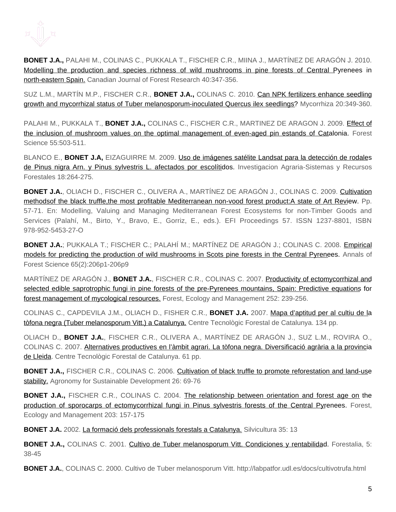

**BONET J.A.,** PALAHI M., COLINAS C., PUKKALA T., FISCHER C.R., MIINA J., MARTÍNEZ DE ARAGÓN J. 2010. Modelling the production and species richness of wild mushrooms in pine forests of Central Pyrenees in north-eastern Spain. Canadian Journal of Forest Research 40:347-356.

SUZ L.M., MARTÍN M.P., FISCHER C.R., **BONET J.A.,** COLINAS C. 2010. Can NPK fertilizers enhance seedling growth and mycorrhizal status of Tuber melanosporum-inoculated Quercus ilex seedlings? Mycorrhiza 20:349-360.

PALAHI M., PUKKALA T., **BONET J.A.,** COLINAS C., FISCHER C.R., MARTINEZ DE ARAGON J. 2009. Effect of the inclusion of mushroom values on the optimal management of even-aged pin estands of Catalonia. Forest Science 55:503-511.

BLANCO E., **BONET J.A,** EIZAGUIRRE M. 2009. Uso de imágenes satélite Landsat para la detección de rodales de Pinus nigra Arn. y Pinus sylvestris L. afectados por escolítidos. Investigacion Agraria-Sistemas y Recursos Forestales 18:264-275.

**BONET J.A.**, OLIACH D., FISCHER C., OLIVERA A., MARTÍNEZ DE ARAGÓN J., COLINAS C. 2009. Cultivation methodsof the black truffle,the most profitable Mediterranean non-vood forest product:A state of Art Review. Pp. 57-71. En: Modelling, Valuing and Managing Mediterranean Forest Ecosystems for non-Timber Goods and Services (Palahí, M., Birto, Y., Bravo, E., Gorriz, E., eds.). EFI Proceedings 57. ISSN 1237-8801, ISBN 978-952-5453-27-O

**BONET J.A.**; PUKKALA T.; FISCHER C.; PALAHÍ M.; MARTÍNEZ DE ARAGÓN J.; COLINAS C. 2008. Empirical models for predicting the production of wild mushrooms in Scots pine forests in the Central Pyrenees. Annals of Forest Science 65(2):206p1-206p9

MARTÍNEZ DE ARAGÓN J., **BONET J.A.**, FISCHER C.R., COLINAS C. 2007. Productivity of ectomycorrhizal and selected edible saprotrophic fungi in pine forests of the pre-Pyrenees mountains, Spain: Predictive equations for forest management of mycological resources. Forest, Ecology and Management 252: 239-256.

COLINAS C., CAPDEVILA J.M., OLIACH D., FISHER C.R., **BONET J.A.** 2007. Mapa d'aptitud per al cultiu de la tòfona negra (Tuber melanosporum Vitt.) a Catalunya. Centre Tecnològic Forestal de Catalunya. 134 pp.

OLIACH D., **BONET J.A.**, FISCHER C.R., OLIVERA A., MARTÍNEZ DE ARAGÓN J., SUZ L.M., ROVIRA O., COLINAS C. 2007. Alternatives productives en l'àmbit agrari. La tòfona negra. Diversificació agrària a la provincia de Lleida. Centre Tecnològic Forestal de Catalunya. 61 pp.

**BONET J.A.,** FISCHER C.R., COLINAS C. 2006. Cultivation of black truffle to promote reforestation and land-use stability. Agronomy for Sustainable Development 26: 69-76

**BONET J.A.,** FISCHER C.R., COLINAS C. 2004. The relationship between orientation and forest age on the production of sporocarps of ectomycorrhizal fungi in Pinus sylvestris forests of the Central Pyrenees. Forest, Ecology and Management 203: 157-175

**BONET J.A.** 2002. La formació dels professionals forestals a Catalunya. Silvicultura 35: 13

BONET J.A., COLINAS C. 2001. Cultivo de Tuber melanosporum Vitt. Condiciones y rentabilidad. Forestalia, 5: 38-45

**BONET J.A.**, COLINAS C. 2000. Cultivo de Tuber melanosporum Vitt. http://labpatfor.udl.es/docs/cultivotrufa.html